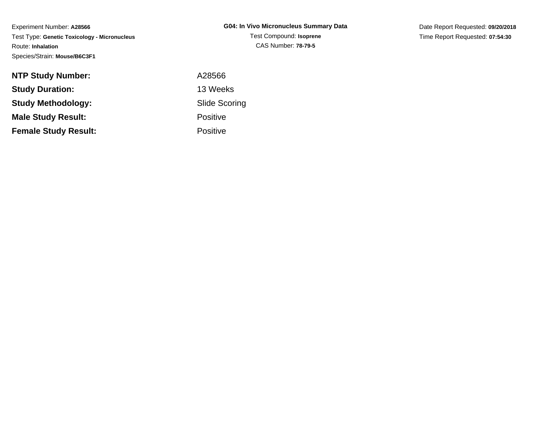Experiment Number: **A28566** Test Type: **Genetic Toxicology - Micronucleus**Route: **Inhalation**Species/Strain: **Mouse/B6C3F1**

Date Report Requested: **09/20/2018**Time Report Requested: **07:54:30**

| <b>NTP Study Number:</b>    | A28566               |
|-----------------------------|----------------------|
| <b>Study Duration:</b>      | 13 Weeks             |
| Study Methodology:          | <b>Slide Scoring</b> |
| <b>Male Study Result:</b>   | <b>Positive</b>      |
| <b>Female Study Result:</b> | <b>Positive</b>      |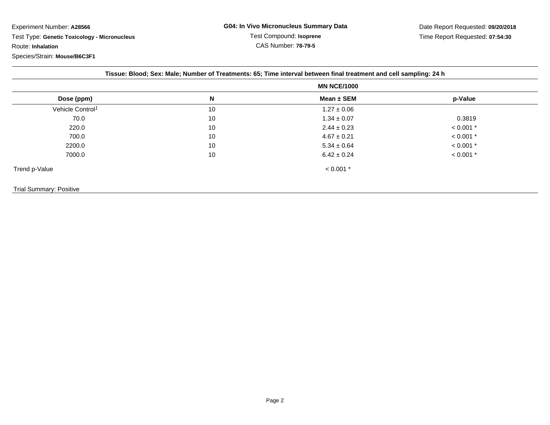Experiment Number: **A28566** Test Type: **Genetic Toxicology - Micronucleus**Route: **Inhalation**Species/Strain: **Mouse/B6C3F1**

|                              | <b>MN NCE/1000</b> |                 |             |
|------------------------------|--------------------|-----------------|-------------|
| Dose (ppm)                   | N                  | Mean $\pm$ SEM  | p-Value     |
| Vehicle Control <sup>1</sup> | 10                 | $1.27 \pm 0.06$ |             |
| 70.0                         | 10                 | $1.34 \pm 0.07$ | 0.3819      |
| 220.0                        | 10                 | $2.44 \pm 0.23$ | $< 0.001$ * |
| 700.0                        | 10                 | $4.67 \pm 0.21$ | $< 0.001$ * |
| 2200.0                       | 10                 | $5.34 \pm 0.64$ | $< 0.001$ * |
| 7000.0                       | 10                 | $6.42 \pm 0.24$ | $< 0.001$ * |
| Trend p-Value                |                    | $< 0.001$ *     |             |

## Trial Summary: Positive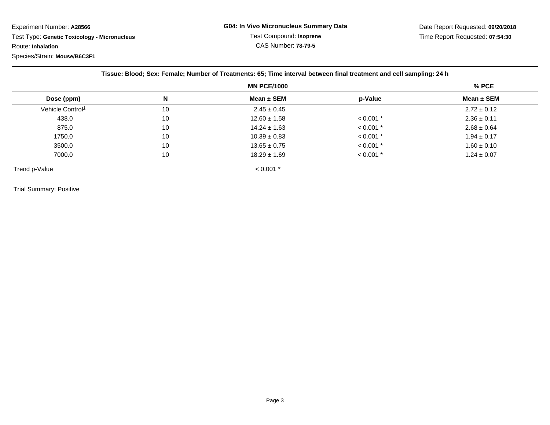Experiment Number: **A28566**

 Test Type: **Genetic Toxicology - Micronucleus**Route: **Inhalation**

Species/Strain: **Mouse/B6C3F1**

Date Report Requested: **09/20/2018**Time Report Requested: **07:54:30**

|                              | <b>MN PCE/1000</b> |                  |             | % PCE           |
|------------------------------|--------------------|------------------|-------------|-----------------|
| Dose (ppm)                   | N                  | Mean $\pm$ SEM   | p-Value     | Mean $\pm$ SEM  |
| Vehicle Control <sup>1</sup> | 10                 | $2.45 \pm 0.45$  |             | $2.72 \pm 0.12$ |
| 438.0                        | 10                 | $12.60 \pm 1.58$ | $< 0.001$ * | $2.36 \pm 0.11$ |
| 875.0                        | 10                 | $14.24 \pm 1.63$ | $< 0.001$ * | $2.68 \pm 0.64$ |
| 1750.0                       | 10                 | $10.39 \pm 0.83$ | $< 0.001$ * | $1.94 \pm 0.17$ |
| 3500.0                       | 10                 | $13.65 \pm 0.75$ | $< 0.001$ * | $1.60 \pm 0.10$ |
| 7000.0                       | 10                 | $18.29 \pm 1.69$ | $< 0.001$ * | $1.24 \pm 0.07$ |
| Trend p-Value                |                    | $< 0.001$ *      |             |                 |

Trial Summary: Positive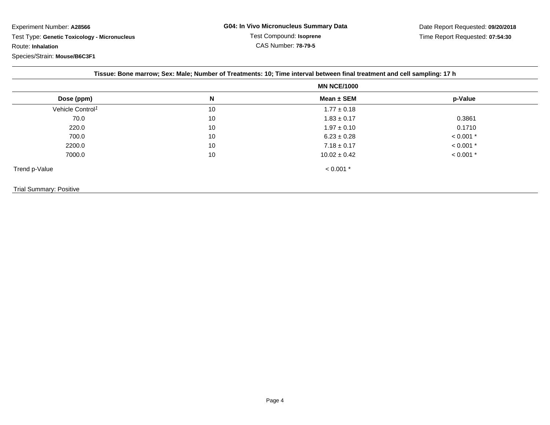Experiment Number: **A28566**Test Type: **Genetic Toxicology - Micronucleus**

Route: **Inhalation**

Species/Strain: **Mouse/B6C3F1**

|                              | <b>MN NCE/1000</b> |                  |             |
|------------------------------|--------------------|------------------|-------------|
| Dose (ppm)                   | N                  | Mean $\pm$ SEM   | p-Value     |
| Vehicle Control <sup>1</sup> | 10                 | $1.77 \pm 0.18$  |             |
| 70.0                         | 10                 | $1.83 \pm 0.17$  | 0.3861      |
| 220.0                        | 10                 | $1.97 \pm 0.10$  | 0.1710      |
| 700.0                        | 10                 | $6.23 \pm 0.28$  | $< 0.001$ * |
| 2200.0                       | 10                 | $7.18 \pm 0.17$  | $< 0.001$ * |
| 7000.0                       | 10                 | $10.02 \pm 0.42$ | $< 0.001$ * |
| Trend p-Value                |                    | $< 0.001$ *      |             |